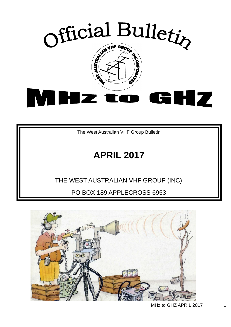

The West Australian VHF Group Bulletin

# **APRIL 2017**

### THE WEST AUSTRALIAN VHF GROUP (INC)

PO BOX 189 APPLECROSS 6953

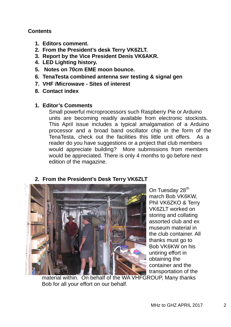#### **Contents**

- **1. Editors comment.**
- **2. From the President's desk Terry VK6ZLT.**
- **3. Report by the Vice President Denis VK6AKR.**
- **4. LED Lighting history.**
- **5. Notes on 70cm EME moon bounce.**
- **6. TenaTesta combined antenna swr testing & signal gen**
- **7. VHF /Microwave Sites of interest**
- **8. Contact index**

#### **1. Editor's Comments**

Small powerful microprocessors such Raspberry Pie or Arduino units are becoming readily available from electronic stockists. This April issue includes a typical amalgamation of a Arduino processor and a broad band oscillator chip in the form of the TenaTesta, check out the facilities this little unit offers. As a reader do you have suggestions or a project that club members would appreciate building? More submissions from members would be appreciated. There is only 4 months to go before next edition of the magazine.



On Tuesday 28<sup>th</sup> march Bob VK6KW, Phil VK6ZKO & Terry VK6ZLT worked on storing and collating assorted club and ex museum material in the club container. All thanks must go to Bob VK6KW on his untiring effort in obtaining the container and the transportation of the

material within. On behalf of the WA VHFGROUP, Many thanks Bob for all your effort on our behalf.

#### **2. From the President's Desk Terry VK6ZLT**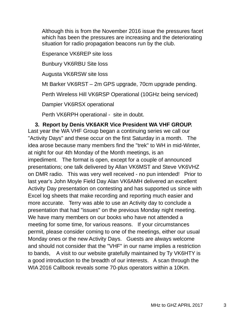Although this is from the November 2016 issue the pressures facet which has been the pressures are increasing and the deteriorating situation for radio propagation beacons run by the club.

Esperance VK6REP site loss

Bunbury VK6RBU Site loss

Augusta VK6RSW site loss

Mt Barker VK6RST – 2m GPS upgrade, 70cm upgrade pending.

Perth Wireless Hill VK6RSP Operational (10GHz being serviced)

Dampier VK6RSX operational

Perth VK6RPH operational - site in doubt.

### **3. Report by Denis VK6AKR Vice President WA VHF GROUP.**

Last year the WA VHF Group began a continuing series we call our "Activity Days" and these occur on the first Saturday in a month. The idea arose because many members find the "trek" to WH in mid-Winter, at night for our 4th Monday of the Month meetings, is an impediment. The format is open, except for a couple of announced presentations; one talk delivered by Allan VK6MST and Steve VK6VHZ on DMR radio. This was very well received - no pun intended! Prior to last year's John Moyle Field Day Alan VK6AMH delivered an excellent Activity Day presentation on contesting and has supported us since with Excel log sheets that make recording and reporting much easier and more accurate. Terry was able to use an Activity day to conclude a presentation that had "issues" on the previous Monday night meeting. We have many members on our books who have not attended a meeting for some time, for various reasons. If your circumstances permit, please consider coming to one of the meetings, either our usual Monday ones or the new Activity Days. Guests are always welcome and should not consider that the "VHF" in our name implies a restriction to bands, A visit to our website gratefully maintained by Ty VK6HTY is a good introduction to the breadth of our interests. A scan through the WIA 2016 Callbook reveals some 70-plus operators within a 10Km.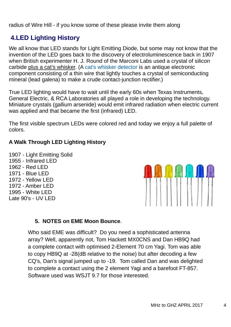radius of Wire Hill - if you know some of these please invite them along

### **4.LED Lighting History**

We all know that LED stands for Light Emitting Diode, but some may not know that the invention of the LED goes back to the discovery of electroluminescence back in 1907 when British experimenter H. J. Round of the Marconi Labs used a crystal of silicon carbide plus a cat's whisker. (A cat's whisker detector is an antique electronic component consisting of a thin wire that lightly touches a crystal of semiconducting mineral (lead galena) to make a crude contact-junction rectifier.)

True LED lighting would have to wait until the early 60s when Texas Instruments, General Electric, & RCA Laboratories all played a role in developing the technology. Miniature crystals (gallium arsenide) would emit infrared radiation when electric current was applied and that became the first (infrared) LED.

The first visible spectrum LEDs were colored red and today we enjoy a full palette of colors.

### **A Walk Through LED Lighting History**

1907 - Light Emitting Solid 1955 - Infrared LED 1962 - Red LED 1971 - Blue LED 1972 - Yellow LED 1972 - Amber LED 1995 - White LED Late 90's - UV LED



#### **5. NOTES on EME Moon Bounce**.

Who said EME was difficult? Do you need a sophisticated antenna array? Well, apparently not, Tom Hackett MX0CNS and Dan HB9Q had a complete contact with optimised 2-Element 70 cm Yagi. Tom was able to copy HB9Q at -28(dB relative to the noise) but after decoding a few CQ's, Dan's signal jumped up to -19. Tom called Dan and was delighted to complete a contact using the 2 element Yagi and a barefoot FT-857. Software used was WSJT 9.7 for those interested.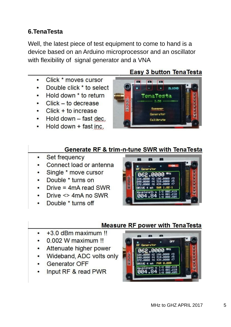### **6.TenaTesta**

Well, the latest piece of test equipment to come to hand is a device based on an Arduino microprocessor and an oscillator with flexibility of signal generator and a VNA

- Click \* moves cursor  $\bullet$
- Double click \* to select  $\bullet$
- Hold down \* to return  $\bullet$
- $\cdot$  Click to decrease
- $Click + to increase$  $\bullet$
- Hold down fast dec.
- Hold down + fast inc.

### Easy 3 button TenaTesta



#### Generate RF & trim-n-tune SWR with TenaTesta

- Set frequency  $\bullet$
- Connect load or antenna
- Single \* move cursor
- Double \* turns on
- Drive =  $4mA$  read SWR
- Drive <> 4mA no SWR
- Double \* turns off



#### **Measure RF power with TenaTesta**

- +3.0 dBm maximum II
- 0.002 W maximum !!
- Attenuate higher power
- Wideband, ADC volts only
- Generator OFF
- Input RF & read PWR

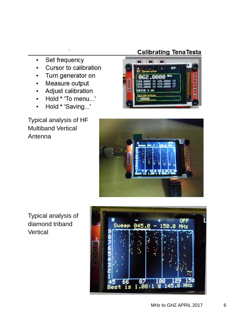- Set frequency  $\bullet$
- Cursor to calibration  $\bullet$
- Turn generator on
- Measure output
- Adjust calibration  $\bullet$
- Hold \* 'To menu...'  $\bullet$
- Hold \* 'Saving...'  $\bullet$

Typical analysis of HF Multiband Vertical Antenna

### **Calibrating TenaTesta**





Typical analysis of diamond triband Vertical

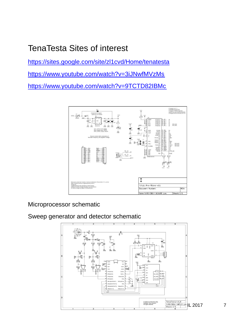## TenaTesta Sites of interest

https://sites.google.com/site/zl1cvd/Home/tenatesta

https://www.youtube.com/watch?v=3iJNwfMVzMs

https://www.youtube.com/watch?v=9TCTD82IBMc



Microprocessor schematic

Sweep generator and detector schematic

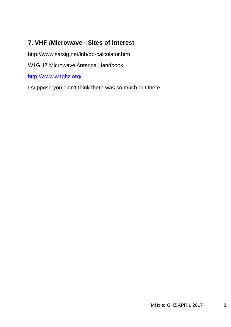### **7. VHF /Microwave - Sites of interest**

http://www.satsig.net/lnb/db-calculator.htm

W1GHZ Microwave Antenna Handbook

http://www.w1ghz.org/

I suppose you didn't think there was so much out there